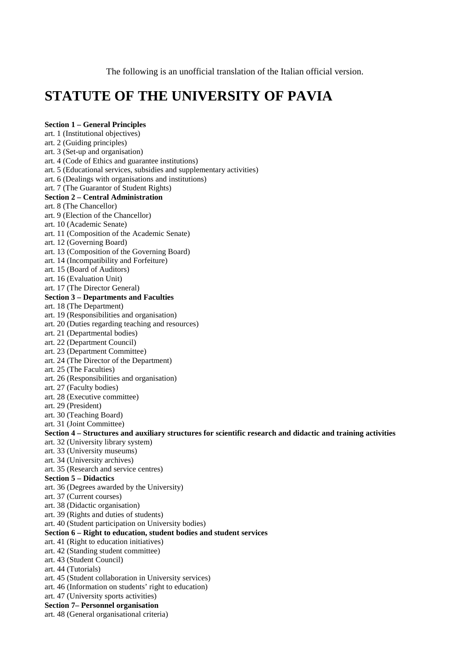The following is an unofficial translation of the Italian official version.

# **STATUTE OF THE UNIVERSITY OF PAVIA**

#### **Section 1 – General Principles**

art. 1 (Institutional objectives)

art. 2 (Guiding principles)

art. 3 (Set-up and organisation)

art. 4 (Code of Ethics and guarantee institutions)

art. 5 (Educational services, subsidies and supplementary activities)

art. 6 (Dealings with organisations and institutions)

art. 7 (The Guarantor of Student Rights)

#### **Section 2 – Central Administration**

art. 8 (The Chancellor)

art. 9 (Election of the Chancellor)

- art. 10 (Academic Senate)
- art. 11 (Composition of the Academic Senate)
- art. 12 (Governing Board)

art. 13 (Composition of the Governing Board)

art. 14 (Incompatibility and Forfeiture)

art. 15 (Board of Auditors)

art. 16 (Evaluation Unit)

art. 17 (The Director General)

#### **Section 3 – Departments and Faculties**

art. 18 (The Department)

- art. 19 (Responsibilities and organisation)
- art. 20 (Duties regarding teaching and resources)
- art. 21 (Departmental bodies)

art. 22 (Department Council)

art. 23 (Department Committee)

- art. 24 (The Director of the Department)
- art. 25 (The Faculties)
- art. 26 (Responsibilities and organisation)

art. 27 (Faculty bodies)

art. 28 (Executive committee)

art. 29 (President)

art. 30 (Teaching Board)

art. 31 (Joint Committee)

#### **Section 4 – Structures and auxiliary structures for scientific research and didactic and training activities**

- art. 32 (University library system)
- art. 33 (University museums)
- art. 34 (University archives)
- art. 35 (Research and service centres)

#### **Section 5 – Didactics**

art. 36 (Degrees awarded by the University)

art. 37 (Current courses)

art. 38 (Didactic organisation)

art. 39 (Rights and duties of students)

art. 40 (Student participation on University bodies)

#### **Section 6 – Right to education, student bodies and student services**

art. 41 (Right to education initiatives)

- art. 42 (Standing student committee)
- art. 43 (Student Council)
- art. 44 (Tutorials)
- art. 45 (Student collaboration in University services)
- art. 46 (Information on students' right to education)
- art. 47 (University sports activities)
- **Section 7– Personnel organisation**
- art. 48 (General organisational criteria)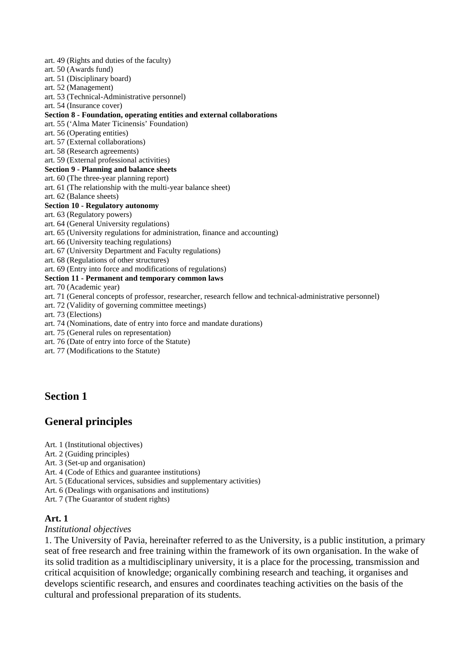- art. 49 (Rights and duties of the faculty)
- art. 50 (Awards fund)
- art. 51 (Disciplinary board)
- art. 52 (Management)
- art. 53 (Technical-Administrative personnel)
- art. 54 (Insurance cover)

#### **Section 8 - Foundation, operating entities and external collaborations**

- art. 55 ('Alma Mater Ticinensis' Foundation)
- art. 56 (Operating entities)
- art. 57 (External collaborations)
- art. 58 (Research agreements)
- art. 59 (External professional activities)

#### **Section 9 - Planning and balance sheets**

- art. 60 (The three-year planning report)
- art. 61 (The relationship with the multi-year balance sheet)
- art. 62 (Balance sheets)

#### **Section 10 - Regulatory autonomy**

- art. 63 (Regulatory powers)
- art. 64 (General University regulations)
- art. 65 (University regulations for administration, finance and accounting)
- art. 66 (University teaching regulations)
- art. 67 (University Department and Faculty regulations)
- art. 68 (Regulations of other structures)
- art. 69 (Entry into force and modifications of regulations)

#### **Section 11 - Permanent and temporary common laws**

art. 70 (Academic year)

- art. 71 (General concepts of professor, researcher, research fellow and technical-administrative personnel)
- art. 72 (Validity of governing committee meetings)
- art. 73 (Elections)
- art. 74 (Nominations, date of entry into force and mandate durations)
- art. 75 (General rules on representation)
- art. 76 (Date of entry into force of the Statute)
- art. 77 (Modifications to the Statute)

# **Section 1**

# **General principles**

- Art. 1 (Institutional objectives)
- Art. 2 (Guiding principles)
- Art. 3 (Set-up and organisation)
- Art. 4 (Code of Ethics and guarantee institutions)
- Art. 5 (Educational services, subsidies and supplementary activities)
- Art. 6 (Dealings with organisations and institutions)
- Art. 7 (The Guarantor of student rights)

#### **Art. 1**

#### *Institutional objectives*

1. The University of Pavia, hereinafter referred to as the University, is a public institution, a primary seat of free research and free training within the framework of its own organisation. In the wake of its solid tradition as a multidisciplinary university, it is a place for the processing, transmission and critical acquisition of knowledge; organically combining research and teaching, it organises and develops scientific research, and ensures and coordinates teaching activities on the basis of the cultural and professional preparation of its students.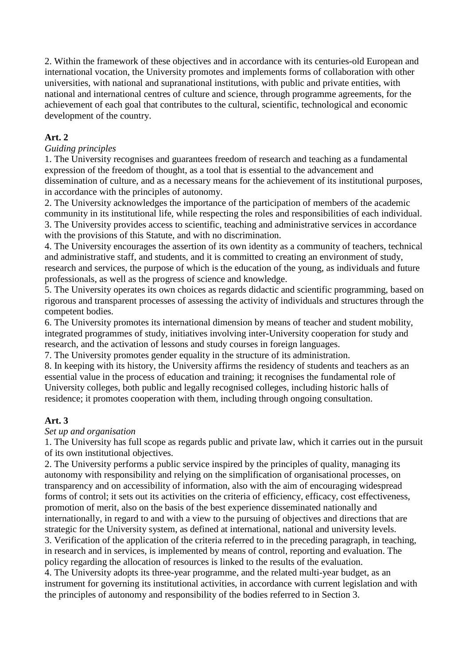2. Within the framework of these objectives and in accordance with its centuries-old European and international vocation, the University promotes and implements forms of collaboration with other universities, with national and supranational institutions, with public and private entities, with national and international centres of culture and science, through programme agreements, for the achievement of each goal that contributes to the cultural, scientific, technological and economic development of the country.

# **Art. 2**

#### *Guiding principles*

1. The University recognises and guarantees freedom of research and teaching as a fundamental expression of the freedom of thought, as a tool that is essential to the advancement and dissemination of culture, and as a necessary means for the achievement of its institutional purposes, in accordance with the principles of autonomy.

2. The University acknowledges the importance of the participation of members of the academic community in its institutional life, while respecting the roles and responsibilities of each individual. 3. The University provides access to scientific, teaching and administrative services in accordance with the provisions of this Statute, and with no discrimination.

4. The University encourages the assertion of its own identity as a community of teachers, technical and administrative staff, and students, and it is committed to creating an environment of study, research and services, the purpose of which is the education of the young, as individuals and future professionals, as well as the progress of science and knowledge.

5. The University operates its own choices as regards didactic and scientific programming, based on rigorous and transparent processes of assessing the activity of individuals and structures through the competent bodies.

6. The University promotes its international dimension by means of teacher and student mobility, integrated programmes of study, initiatives involving inter-University cooperation for study and research, and the activation of lessons and study courses in foreign languages.

7. The University promotes gender equality in the structure of its administration.

8. In keeping with its history, the University affirms the residency of students and teachers as an essential value in the process of education and training; it recognises the fundamental role of University colleges, both public and legally recognised colleges, including historic halls of residence; it promotes cooperation with them, including through ongoing consultation.

# **Art. 3**

#### *Set up and organisation*

1. The University has full scope as regards public and private law, which it carries out in the pursuit of its own institutional objectives.

2. The University performs a public service inspired by the principles of quality, managing its autonomy with responsibility and relying on the simplification of organisational processes, on transparency and on accessibility of information, also with the aim of encouraging widespread forms of control; it sets out its activities on the criteria of efficiency, efficacy, cost effectiveness, promotion of merit, also on the basis of the best experience disseminated nationally and internationally, in regard to and with a view to the pursuing of objectives and directions that are strategic for the University system, as defined at international, national and university levels.

3. Verification of the application of the criteria referred to in the preceding paragraph, in teaching, in research and in services, is implemented by means of control, reporting and evaluation. The policy regarding the allocation of resources is linked to the results of the evaluation.

4. The University adopts its three-year programme, and the related multi-year budget, as an instrument for governing its institutional activities, in accordance with current legislation and with the principles of autonomy and responsibility of the bodies referred to in Section 3.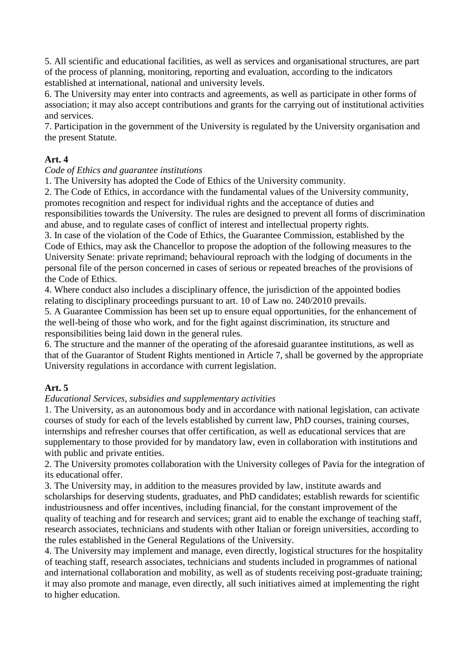5. All scientific and educational facilities, as well as services and organisational structures, are part of the process of planning, monitoring, reporting and evaluation, according to the indicators established at international, national and university levels.

6. The University may enter into contracts and agreements, as well as participate in other forms of association; it may also accept contributions and grants for the carrying out of institutional activities and services.

7. Participation in the government of the University is regulated by the University organisation and the present Statute.

# **Art. 4**

#### *Code of Ethics and guarantee institutions*

1. The University has adopted the Code of Ethics of the University community.

2. The Code of Ethics, in accordance with the fundamental values of the University community, promotes recognition and respect for individual rights and the acceptance of duties and responsibilities towards the University. The rules are designed to prevent all forms of discrimination

and abuse, and to regulate cases of conflict of interest and intellectual property rights.

3. In case of the violation of the Code of Ethics, the Guarantee Commission, established by the Code of Ethics, may ask the Chancellor to propose the adoption of the following measures to the University Senate: private reprimand; behavioural reproach with the lodging of documents in the personal file of the person concerned in cases of serious or repeated breaches of the provisions of the Code of Ethics.

4. Where conduct also includes a disciplinary offence, the jurisdiction of the appointed bodies relating to disciplinary proceedings pursuant to art. 10 of Law no. 240/2010 prevails.

5. A Guarantee Commission has been set up to ensure equal opportunities, for the enhancement of the well-being of those who work, and for the fight against discrimination, its structure and responsibilities being laid down in the general rules.

6. The structure and the manner of the operating of the aforesaid guarantee institutions, as well as that of the Guarantor of Student Rights mentioned in Article 7, shall be governed by the appropriate University regulations in accordance with current legislation.

# **Art. 5**

# *Educational Services, subsidies and supplementary activities*

1. The University, as an autonomous body and in accordance with national legislation, can activate courses of study for each of the levels established by current law, PhD courses, training courses, internships and refresher courses that offer certification, as well as educational services that are supplementary to those provided for by mandatory law, even in collaboration with institutions and with public and private entities.

2. The University promotes collaboration with the University colleges of Pavia for the integration of its educational offer.

3. The University may, in addition to the measures provided by law, institute awards and scholarships for deserving students, graduates, and PhD candidates; establish rewards for scientific industriousness and offer incentives, including financial, for the constant improvement of the quality of teaching and for research and services; grant aid to enable the exchange of teaching staff, research associates, technicians and students with other Italian or foreign universities, according to the rules established in the General Regulations of the University.

4. The University may implement and manage, even directly, logistical structures for the hospitality of teaching staff, research associates, technicians and students included in programmes of national and international collaboration and mobility, as well as of students receiving post-graduate training; it may also promote and manage, even directly, all such initiatives aimed at implementing the right to higher education.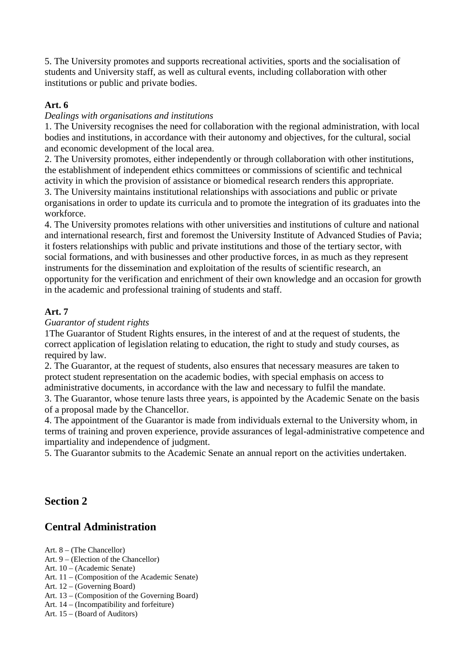5. The University promotes and supports recreational activities, sports and the socialisation of students and University staff, as well as cultural events, including collaboration with other institutions or public and private bodies.

# **Art. 6**

# *Dealings with organisations and institutions*

1. The University recognises the need for collaboration with the regional administration, with local bodies and institutions, in accordance with their autonomy and objectives, for the cultural, social and economic development of the local area.

2. The University promotes, either independently or through collaboration with other institutions, the establishment of independent ethics committees or commissions of scientific and technical activity in which the provision of assistance or biomedical research renders this appropriate.

3. The University maintains institutional relationships with associations and public or private organisations in order to update its curricula and to promote the integration of its graduates into the workforce.

4. The University promotes relations with other universities and institutions of culture and national and international research, first and foremost the University Institute of Advanced Studies of Pavia; it fosters relationships with public and private institutions and those of the tertiary sector, with social formations, and with businesses and other productive forces, in as much as they represent instruments for the dissemination and exploitation of the results of scientific research, an opportunity for the verification and enrichment of their own knowledge and an occasion for growth in the academic and professional training of students and staff.

# **Art. 7**

# *Guarantor of student rights*

1The Guarantor of Student Rights ensures, in the interest of and at the request of students, the correct application of legislation relating to education, the right to study and study courses, as required by law.

2. The Guarantor, at the request of students, also ensures that necessary measures are taken to protect student representation on the academic bodies, with special emphasis on access to administrative documents, in accordance with the law and necessary to fulfil the mandate.

3. The Guarantor, whose tenure lasts three years, is appointed by the Academic Senate on the basis of a proposal made by the Chancellor.

4. The appointment of the Guarantor is made from individuals external to the University whom, in terms of training and proven experience, provide assurances of legal-administrative competence and impartiality and independence of judgment.

5. The Guarantor submits to the Academic Senate an annual report on the activities undertaken.

# **Section 2**

# **Central Administration**

Art. 8 – (The Chancellor)

- Art. 9 (Election of the Chancellor)
- Art. 10 (Academic Senate)
- Art. 11 (Composition of the Academic Senate)
- Art. 12 (Governing Board)
- Art. 13 (Composition of the Governing Board)
- Art. 14 (Incompatibility and forfeiture)
- Art. 15 (Board of Auditors)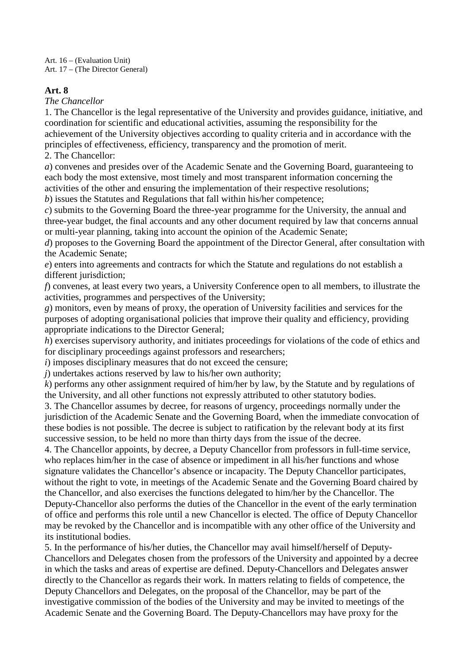Art. 16 – (Evaluation Unit) Art. 17 – (The Director General)

#### **Art. 8**

*The Chancellor*

1. The Chancellor is the legal representative of the University and provides guidance, initiative, and coordination for scientific and educational activities, assuming the responsibility for the achievement of the University objectives according to quality criteria and in accordance with the principles of effectiveness, efficiency, transparency and the promotion of merit.

2. The Chancellor:

*a*) convenes and presides over of the Academic Senate and the Governing Board, guaranteeing to each body the most extensive, most timely and most transparent information concerning the activities of the other and ensuring the implementation of their respective resolutions;

*b*) issues the Statutes and Regulations that fall within his/her competence;

*c*) submits to the Governing Board the three-year programme for the University, the annual and three-year budget, the final accounts and any other document required by law that concerns annual or multi-year planning, taking into account the opinion of the Academic Senate;

*d*) proposes to the Governing Board the appointment of the Director General, after consultation with the Academic Senate;

*e*) enters into agreements and contracts for which the Statute and regulations do not establish a different jurisdiction;

*f*) convenes, at least every two years, a University Conference open to all members, to illustrate the activities, programmes and perspectives of the University;

*g*) monitors, even by means of proxy, the operation of University facilities and services for the purposes of adopting organisational policies that improve their quality and efficiency, providing appropriate indications to the Director General;

*h*) exercises supervisory authority, and initiates proceedings for violations of the code of ethics and for disciplinary proceedings against professors and researchers;

*i*) imposes disciplinary measures that do not exceed the censure;

*j*) undertakes actions reserved by law to his/her own authority;

*k*) performs any other assignment required of him/her by law, by the Statute and by regulations of the University, and all other functions not expressly attributed to other statutory bodies.

3. The Chancellor assumes by decree, for reasons of urgency, proceedings normally under the jurisdiction of the Academic Senate and the Governing Board, when the immediate convocation of these bodies is not possible. The decree is subject to ratification by the relevant body at its first successive session, to be held no more than thirty days from the issue of the decree.

4. The Chancellor appoints, by decree, a Deputy Chancellor from professors in full-time service, who replaces him/her in the case of absence or impediment in all his/her functions and whose signature validates the Chancellor's absence or incapacity. The Deputy Chancellor participates, without the right to vote, in meetings of the Academic Senate and the Governing Board chaired by the Chancellor, and also exercises the functions delegated to him/her by the Chancellor. The Deputy-Chancellor also performs the duties of the Chancellor in the event of the early termination of office and performs this role until a new Chancellor is elected. The office of Deputy Chancellor may be revoked by the Chancellor and is incompatible with any other office of the University and its institutional bodies.

5. In the performance of his/her duties, the Chancellor may avail himself/herself of Deputy-Chancellors and Delegates chosen from the professors of the University and appointed by a decree in which the tasks and areas of expertise are defined. Deputy-Chancellors and Delegates answer directly to the Chancellor as regards their work. In matters relating to fields of competence, the Deputy Chancellors and Delegates, on the proposal of the Chancellor, may be part of the investigative commission of the bodies of the University and may be invited to meetings of the Academic Senate and the Governing Board. The Deputy-Chancellors may have proxy for the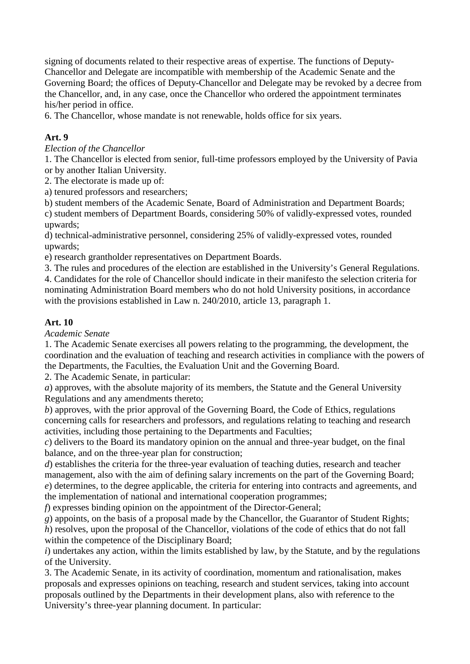signing of documents related to their respective areas of expertise. The functions of Deputy-Chancellor and Delegate are incompatible with membership of the Academic Senate and the Governing Board; the offices of Deputy-Chancellor and Delegate may be revoked by a decree from the Chancellor, and, in any case, once the Chancellor who ordered the appointment terminates his/her period in office.

6. The Chancellor, whose mandate is not renewable, holds office for six years.

# **Art. 9**

#### *Election of the Chancellor*

1. The Chancellor is elected from senior, full-time professors employed by the University of Pavia or by another Italian University.

2. The electorate is made up of:

a) tenured professors and researchers;

b) student members of the Academic Senate, Board of Administration and Department Boards;

c) student members of Department Boards, considering 50% of validly-expressed votes, rounded upwards;

d) technical-administrative personnel, considering 25% of validly-expressed votes, rounded upwards;

e) research grantholder representatives on Department Boards.

3. The rules and procedures of the election are established in the University's General Regulations. 4. Candidates for the role of Chancellor should indicate in their manifesto the selection criteria for nominating Administration Board members who do not hold University positions, in accordance with the provisions established in Law n. 240/2010, article 13, paragraph 1.

# **Art. 10**

*Academic Senate*

1. The Academic Senate exercises all powers relating to the programming, the development, the coordination and the evaluation of teaching and research activities in compliance with the powers of the Departments, the Faculties, the Evaluation Unit and the Governing Board.

2. The Academic Senate, in particular:

*a*) approves, with the absolute majority of its members, the Statute and the General University Regulations and any amendments thereto;

*b*) approves, with the prior approval of the Governing Board, the Code of Ethics, regulations concerning calls for researchers and professors, and regulations relating to teaching and research activities, including those pertaining to the Departments and Faculties;

*c*) delivers to the Board its mandatory opinion on the annual and three-year budget, on the final balance, and on the three-year plan for construction;

*d*) establishes the criteria for the three-year evaluation of teaching duties, research and teacher management, also with the aim of defining salary increments on the part of the Governing Board; *e*) determines, to the degree applicable, the criteria for entering into contracts and agreements, and the implementation of national and international cooperation programmes;

*f*) expresses binding opinion on the appointment of the Director-General;

*g*) appoints, on the basis of a proposal made by the Chancellor, the Guarantor of Student Rights; *h*) resolves, upon the proposal of the Chancellor, violations of the code of ethics that do not fall within the competence of the Disciplinary Board;

*i*) undertakes any action, within the limits established by law, by the Statute, and by the regulations of the University.

3. The Academic Senate, in its activity of coordination, momentum and rationalisation, makes proposals and expresses opinions on teaching, research and student services, taking into account proposals outlined by the Departments in their development plans, also with reference to the University's three-year planning document. In particular: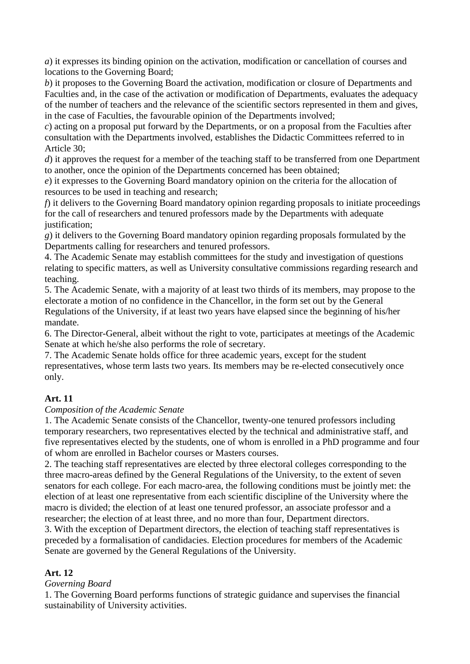*a*) it expresses its binding opinion on the activation, modification or cancellation of courses and locations to the Governing Board;

*b*) it proposes to the Governing Board the activation, modification or closure of Departments and Faculties and, in the case of the activation or modification of Departments, evaluates the adequacy of the number of teachers and the relevance of the scientific sectors represented in them and gives, in the case of Faculties, the favourable opinion of the Departments involved;

*c*) acting on a proposal put forward by the Departments, or on a proposal from the Faculties after consultation with the Departments involved, establishes the Didactic Committees referred to in Article 30;

*d*) it approves the request for a member of the teaching staff to be transferred from one Department to another, once the opinion of the Departments concerned has been obtained;

*e*) it expresses to the Governing Board mandatory opinion on the criteria for the allocation of resources to be used in teaching and research;

*f*) it delivers to the Governing Board mandatory opinion regarding proposals to initiate proceedings for the call of researchers and tenured professors made by the Departments with adequate justification;

*g*) it delivers to the Governing Board mandatory opinion regarding proposals formulated by the Departments calling for researchers and tenured professors.

4. The Academic Senate may establish committees for the study and investigation of questions relating to specific matters, as well as University consultative commissions regarding research and teaching.

5. The Academic Senate, with a majority of at least two thirds of its members, may propose to the electorate a motion of no confidence in the Chancellor, in the form set out by the General Regulations of the University, if at least two years have elapsed since the beginning of his/her mandate.

6. The Director-General, albeit without the right to vote, participates at meetings of the Academic Senate at which he/she also performs the role of secretary.

7. The Academic Senate holds office for three academic years, except for the student representatives, whose term lasts two years. Its members may be re-elected consecutively once only.

# **Art. 11**

# *Composition of the Academic Senate*

1. The Academic Senate consists of the Chancellor, twenty-one tenured professors including temporary researchers, two representatives elected by the technical and administrative staff, and five representatives elected by the students, one of whom is enrolled in a PhD programme and four of whom are enrolled in Bachelor courses or Masters courses.

2. The teaching staff representatives are elected by three electoral colleges corresponding to the three macro-areas defined by the General Regulations of the University, to the extent of seven senators for each college. For each macro-area, the following conditions must be jointly met: the election of at least one representative from each scientific discipline of the University where the macro is divided; the election of at least one tenured professor, an associate professor and a researcher; the election of at least three, and no more than four, Department directors.

3. With the exception of Department directors, the election of teaching staff representatives is preceded by a formalisation of candidacies. Election procedures for members of the Academic Senate are governed by the General Regulations of the University.

# **Art. 12**

# *Governing Board*

1. The Governing Board performs functions of strategic guidance and supervises the financial sustainability of University activities.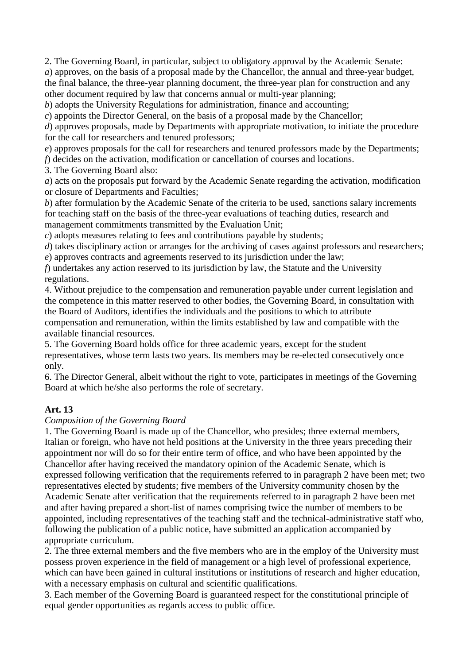2. The Governing Board, in particular, subject to obligatory approval by the Academic Senate: *a*) approves, on the basis of a proposal made by the Chancellor, the annual and three-year budget, the final balance, the three-year planning document, the three-year plan for construction and any other document required by law that concerns annual or multi-year planning;

*b*) adopts the University Regulations for administration, finance and accounting;

*c*) appoints the Director General, on the basis of a proposal made by the Chancellor;

*d*) approves proposals, made by Departments with appropriate motivation, to initiate the procedure for the call for researchers and tenured professors;

*e*) approves proposals for the call for researchers and tenured professors made by the Departments; *f*) decides on the activation, modification or cancellation of courses and locations.

3. The Governing Board also:

*a*) acts on the proposals put forward by the Academic Senate regarding the activation, modification or closure of Departments and Faculties;

*b*) after formulation by the Academic Senate of the criteria to be used, sanctions salary increments for teaching staff on the basis of the three-year evaluations of teaching duties, research and management commitments transmitted by the Evaluation Unit;

*c*) adopts measures relating to fees and contributions payable by students;

*d*) takes disciplinary action or arranges for the archiving of cases against professors and researchers;

*e*) approves contracts and agreements reserved to its jurisdiction under the law; *f*) undertakes any action reserved to its jurisdiction by law, the Statute and the University

regulations.

4. Without prejudice to the compensation and remuneration payable under current legislation and the competence in this matter reserved to other bodies, the Governing Board, in consultation with the Board of Auditors, identifies the individuals and the positions to which to attribute compensation and remuneration, within the limits established by law and compatible with the available financial resources.

5. The Governing Board holds office for three academic years, except for the student representatives, whose term lasts two years. Its members may be re-elected consecutively once only.

6. The Director General, albeit without the right to vote, participates in meetings of the Governing Board at which he/she also performs the role of secretary.

#### **Art. 13**

#### *Composition of the Governing Board*

1. The Governing Board is made up of the Chancellor, who presides; three external members, Italian or foreign, who have not held positions at the University in the three years preceding their appointment nor will do so for their entire term of office, and who have been appointed by the Chancellor after having received the mandatory opinion of the Academic Senate, which is expressed following verification that the requirements referred to in paragraph 2 have been met; two representatives elected by students; five members of the University community chosen by the Academic Senate after verification that the requirements referred to in paragraph 2 have been met and after having prepared a short-list of names comprising twice the number of members to be appointed, including representatives of the teaching staff and the technical-administrative staff who, following the publication of a public notice, have submitted an application accompanied by appropriate curriculum.

2. The three external members and the five members who are in the employ of the University must possess proven experience in the field of management or a high level of professional experience, which can have been gained in cultural institutions or institutions of research and higher education, with a necessary emphasis on cultural and scientific qualifications.

3. Each member of the Governing Board is guaranteed respect for the constitutional principle of equal gender opportunities as regards access to public office.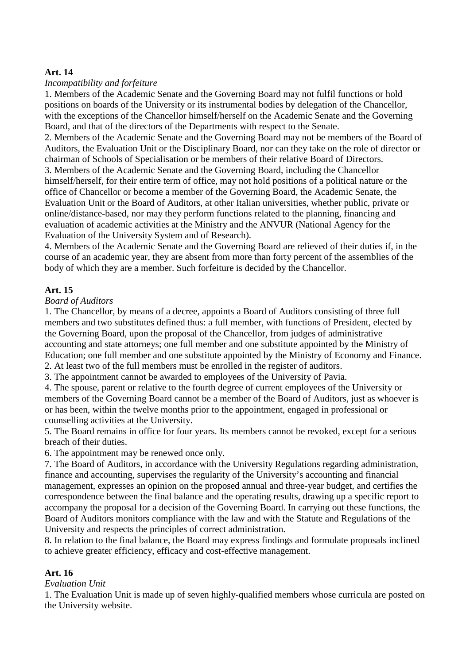#### **Art. 14**

#### *Incompatibility and forfeiture*

1. Members of the Academic Senate and the Governing Board may not fulfil functions or hold positions on boards of the University or its instrumental bodies by delegation of the Chancellor, with the exceptions of the Chancellor himself/herself on the Academic Senate and the Governing Board, and that of the directors of the Departments with respect to the Senate.

2. Members of the Academic Senate and the Governing Board may not be members of the Board of Auditors, the Evaluation Unit or the Disciplinary Board, nor can they take on the role of director or chairman of Schools of Specialisation or be members of their relative Board of Directors.

3. Members of the Academic Senate and the Governing Board, including the Chancellor himself/herself, for their entire term of office, may not hold positions of a political nature or the office of Chancellor or become a member of the Governing Board, the Academic Senate, the Evaluation Unit or the Board of Auditors, at other Italian universities, whether public, private or online/distance-based, nor may they perform functions related to the planning, financing and evaluation of academic activities at the Ministry and the ANVUR (National Agency for the Evaluation of the University System and of Research).

4. Members of the Academic Senate and the Governing Board are relieved of their duties if, in the course of an academic year, they are absent from more than forty percent of the assemblies of the body of which they are a member. Such forfeiture is decided by the Chancellor.

#### **Art. 15**

#### *Board of Auditors*

1. The Chancellor, by means of a decree, appoints a Board of Auditors consisting of three full members and two substitutes defined thus: a full member, with functions of President, elected by the Governing Board, upon the proposal of the Chancellor, from judges of administrative accounting and state attorneys; one full member and one substitute appointed by the Ministry of Education; one full member and one substitute appointed by the Ministry of Economy and Finance. 2. At least two of the full members must be enrolled in the register of auditors.

3. The appointment cannot be awarded to employees of the University of Pavia.

4. The spouse, parent or relative to the fourth degree of current employees of the University or members of the Governing Board cannot be a member of the Board of Auditors, just as whoever is or has been, within the twelve months prior to the appointment, engaged in professional or counselling activities at the University.

5. The Board remains in office for four years. Its members cannot be revoked, except for a serious breach of their duties.

6. The appointment may be renewed once only.

7. The Board of Auditors, in accordance with the University Regulations regarding administration, finance and accounting, supervises the regularity of the University's accounting and financial management, expresses an opinion on the proposed annual and three-year budget, and certifies the correspondence between the final balance and the operating results, drawing up a specific report to accompany the proposal for a decision of the Governing Board. In carrying out these functions, the Board of Auditors monitors compliance with the law and with the Statute and Regulations of the University and respects the principles of correct administration.

8. In relation to the final balance, the Board may express findings and formulate proposals inclined to achieve greater efficiency, efficacy and cost-effective management.

#### **Art. 16**

#### *Evaluation Unit*

1. The Evaluation Unit is made up of seven highly-qualified members whose curricula are posted on the University website.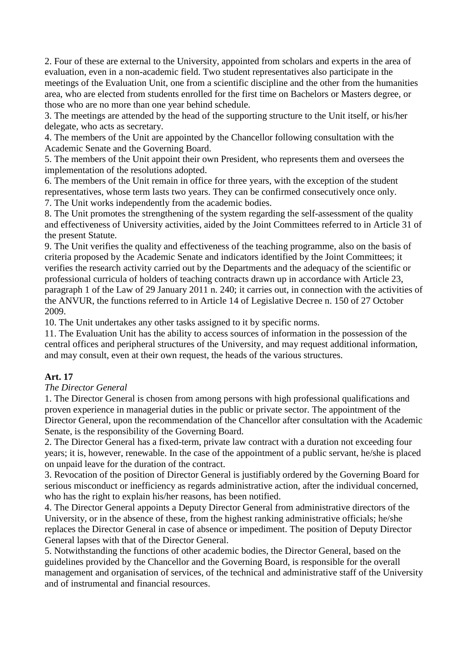2. Four of these are external to the University, appointed from scholars and experts in the area of evaluation, even in a non-academic field. Two student representatives also participate in the meetings of the Evaluation Unit, one from a scientific discipline and the other from the humanities area, who are elected from students enrolled for the first time on Bachelors or Masters degree, or those who are no more than one year behind schedule.

3. The meetings are attended by the head of the supporting structure to the Unit itself, or his/her delegate, who acts as secretary.

4. The members of the Unit are appointed by the Chancellor following consultation with the Academic Senate and the Governing Board.

5. The members of the Unit appoint their own President, who represents them and oversees the implementation of the resolutions adopted.

6. The members of the Unit remain in office for three years, with the exception of the student representatives, whose term lasts two years. They can be confirmed consecutively once only. 7. The Unit works independently from the academic bodies.

8. The Unit promotes the strengthening of the system regarding the self-assessment of the quality and effectiveness of University activities, aided by the Joint Committees referred to in Article 31 of the present Statute.

9. The Unit verifies the quality and effectiveness of the teaching programme, also on the basis of criteria proposed by the Academic Senate and indicators identified by the Joint Committees; it verifies the research activity carried out by the Departments and the adequacy of the scientific or professional curricula of holders of teaching contracts drawn up in accordance with Article 23, paragraph 1 of the Law of 29 January 2011 n. 240; it carries out, in connection with the activities of the ANVUR, the functions referred to in Article 14 of Legislative Decree n. 150 of 27 October 2009.

10. The Unit undertakes any other tasks assigned to it by specific norms.

11. The Evaluation Unit has the ability to access sources of information in the possession of the central offices and peripheral structures of the University, and may request additional information, and may consult, even at their own request, the heads of the various structures.

# **Art. 17**

#### *The Director General*

1. The Director General is chosen from among persons with high professional qualifications and proven experience in managerial duties in the public or private sector. The appointment of the Director General, upon the recommendation of the Chancellor after consultation with the Academic Senate, is the responsibility of the Governing Board.

2. The Director General has a fixed-term, private law contract with a duration not exceeding four years; it is, however, renewable. In the case of the appointment of a public servant, he/she is placed on unpaid leave for the duration of the contract.

3. Revocation of the position of Director General is justifiably ordered by the Governing Board for serious misconduct or inefficiency as regards administrative action, after the individual concerned, who has the right to explain his/her reasons, has been notified.

4. The Director General appoints a Deputy Director General from administrative directors of the University, or in the absence of these, from the highest ranking administrative officials; he/she replaces the Director General in case of absence or impediment. The position of Deputy Director General lapses with that of the Director General.

5. Notwithstanding the functions of other academic bodies, the Director General, based on the guidelines provided by the Chancellor and the Governing Board, is responsible for the overall management and organisation of services, of the technical and administrative staff of the University and of instrumental and financial resources.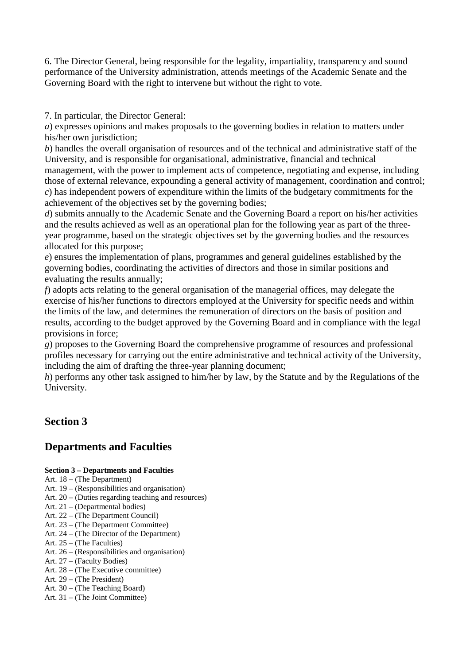6. The Director General, being responsible for the legality, impartiality, transparency and sound performance of the University administration, attends meetings of the Academic Senate and the Governing Board with the right to intervene but without the right to vote.

7. In particular, the Director General:

*a*) expresses opinions and makes proposals to the governing bodies in relation to matters under his/her own jurisdiction:

*b*) handles the overall organisation of resources and of the technical and administrative staff of the University, and is responsible for organisational, administrative, financial and technical management, with the power to implement acts of competence, negotiating and expense, including those of external relevance, expounding a general activity of management, coordination and control; *c*) has independent powers of expenditure within the limits of the budgetary commitments for the achievement of the objectives set by the governing bodies;

*d*) submits annually to the Academic Senate and the Governing Board a report on his/her activities and the results achieved as well as an operational plan for the following year as part of the threeyear programme, based on the strategic objectives set by the governing bodies and the resources allocated for this purpose;

*e*) ensures the implementation of plans, programmes and general guidelines established by the governing bodies, coordinating the activities of directors and those in similar positions and evaluating the results annually;

*f*) adopts acts relating to the general organisation of the managerial offices, may delegate the exercise of his/her functions to directors employed at the University for specific needs and within the limits of the law, and determines the remuneration of directors on the basis of position and results, according to the budget approved by the Governing Board and in compliance with the legal provisions in force;

*g*) proposes to the Governing Board the comprehensive programme of resources and professional profiles necessary for carrying out the entire administrative and technical activity of the University, including the aim of drafting the three-year planning document;

*h*) performs any other task assigned to him/her by law, by the Statute and by the Regulations of the University.

# **Section 3**

# **Departments and Faculties**

# **Section 3 – Departments and Faculties**

- Art. 18 (The Department)
- Art. 19 (Responsibilities and organisation)
- Art. 20 (Duties regarding teaching and resources)
- Art. 21 (Departmental bodies)
- Art. 22 (The Department Council)
- Art. 23 (The Department Committee)
- Art. 24 (The Director of the Department)
- Art. 25 (The Faculties)
- Art. 26 (Responsibilities and organisation)
- Art. 27 (Faculty Bodies)
- Art. 28 (The Executive committee)
- Art. 29 (The President)
- Art. 30 (The Teaching Board)
- Art. 31 (The Joint Committee)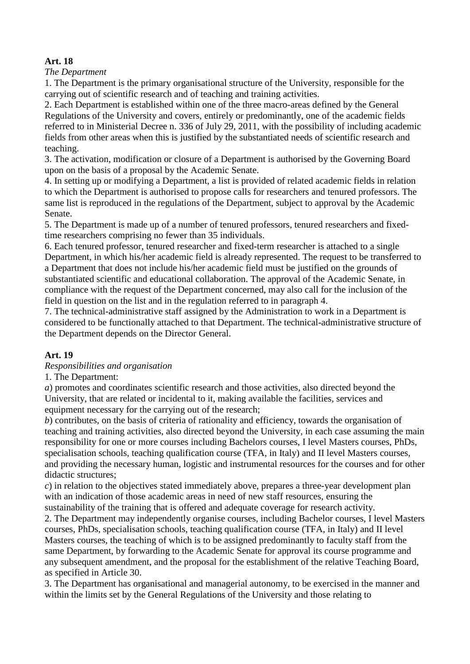# **Art. 18**

*The Department*

1. The Department is the primary organisational structure of the University, responsible for the carrying out of scientific research and of teaching and training activities.

2. Each Department is established within one of the three macro-areas defined by the General Regulations of the University and covers, entirely or predominantly, one of the academic fields referred to in Ministerial Decree n. 336 of July 29, 2011, with the possibility of including academic fields from other areas when this is justified by the substantiated needs of scientific research and teaching.

3. The activation, modification or closure of a Department is authorised by the Governing Board upon on the basis of a proposal by the Academic Senate.

4. In setting up or modifying a Department, a list is provided of related academic fields in relation to which the Department is authorised to propose calls for researchers and tenured professors. The same list is reproduced in the regulations of the Department, subject to approval by the Academic Senate.

5. The Department is made up of a number of tenured professors, tenured researchers and fixedtime researchers comprising no fewer than 35 individuals.

6. Each tenured professor, tenured researcher and fixed-term researcher is attached to a single Department, in which his/her academic field is already represented. The request to be transferred to a Department that does not include his/her academic field must be justified on the grounds of substantiated scientific and educational collaboration. The approval of the Academic Senate, in compliance with the request of the Department concerned, may also call for the inclusion of the field in question on the list and in the regulation referred to in paragraph 4.

7. The technical-administrative staff assigned by the Administration to work in a Department is considered to be functionally attached to that Department. The technical-administrative structure of the Department depends on the Director General.

# **Art. 19**

*Responsibilities and organisation*

1. The Department:

*a*) promotes and coordinates scientific research and those activities, also directed beyond the University, that are related or incidental to it, making available the facilities, services and equipment necessary for the carrying out of the research;

*b*) contributes, on the basis of criteria of rationality and efficiency, towards the organisation of teaching and training activities, also directed beyond the University, in each case assuming the main responsibility for one or more courses including Bachelors courses, I level Masters courses, PhDs, specialisation schools, teaching qualification course (TFA, in Italy) and II level Masters courses, and providing the necessary human, logistic and instrumental resources for the courses and for other didactic structures;

*c*) in relation to the objectives stated immediately above, prepares a three-year development plan with an indication of those academic areas in need of new staff resources, ensuring the sustainability of the training that is offered and adequate coverage for research activity.

2. The Department may independently organise courses, including Bachelor courses, I level Masters courses, PhDs, specialisation schools, teaching qualification course (TFA, in Italy) and II level Masters courses, the teaching of which is to be assigned predominantly to faculty staff from the same Department, by forwarding to the Academic Senate for approval its course programme and any subsequent amendment, and the proposal for the establishment of the relative Teaching Board, as specified in Article 30.

3. The Department has organisational and managerial autonomy, to be exercised in the manner and within the limits set by the General Regulations of the University and those relating to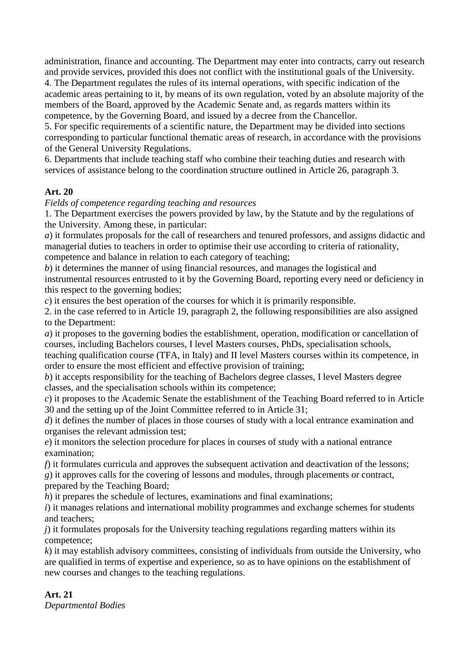administration, finance and accounting. The Department may enter into contracts, carry out research and provide services, provided this does not conflict with the institutional goals of the University. 4. The Department regulates the rules of its internal operations, with specific indication of the

academic areas pertaining to it, by means of its own regulation, voted by an absolute majority of the members of the Board, approved by the Academic Senate and, as regards matters within its competence, by the Governing Board, and issued by a decree from the Chancellor.

5. For specific requirements of a scientific nature, the Department may be divided into sections corresponding to particular functional thematic areas of research, in accordance with the provisions of the General University Regulations.

6. Departments that include teaching staff who combine their teaching duties and research with services of assistance belong to the coordination structure outlined in Article 26, paragraph 3.

# **Art. 20**

*Fields of competence regarding teaching and resources* 

1. The Department exercises the powers provided by law, by the Statute and by the regulations of the University. Among these, in particular:

*a*) it formulates proposals for the call of researchers and tenured professors, and assigns didactic and managerial duties to teachers in order to optimise their use according to criteria of rationality, competence and balance in relation to each category of teaching;

*b*) it determines the manner of using financial resources, and manages the logistical and instrumental resources entrusted to it by the Governing Board, reporting every need or deficiency in this respect to the governing bodies;

*c*) it ensures the best operation of the courses for which it is primarily responsible.

2. in the case referred to in Article 19, paragraph 2, the following responsibilities are also assigned to the Department:

*a*) it proposes to the governing bodies the establishment, operation, modification or cancellation of courses, including Bachelors courses, I level Masters courses, PhDs, specialisation schools,

teaching qualification course (TFA, in Italy) and II level Masters courses within its competence, in order to ensure the most efficient and effective provision of training;

*b*) it accepts responsibility for the teaching of Bachelors degree classes, I level Masters degree classes, and the specialisation schools within its competence;

*c*) it proposes to the Academic Senate the establishment of the Teaching Board referred to in Article 30 and the setting up of the Joint Committee referred to in Article 31;

*d*) it defines the number of places in those courses of study with a local entrance examination and organises the relevant admission test;

*e*) it monitors the selection procedure for places in courses of study with a national entrance examination;

*f*) it formulates curricula and approves the subsequent activation and deactivation of the lessons;

*g*) it approves calls for the covering of lessons and modules, through placements or contract, prepared by the Teaching Board;

*h*) it prepares the schedule of lectures, examinations and final examinations;

*i*) it manages relations and international mobility programmes and exchange schemes for students and teachers;

*j*) it formulates proposals for the University teaching regulations regarding matters within its competence;

*k*) it may establish advisory committees, consisting of individuals from outside the University, who are qualified in terms of expertise and experience, so as to have opinions on the establishment of new courses and changes to the teaching regulations.

# **Art. 21**

*Departmental Bodies*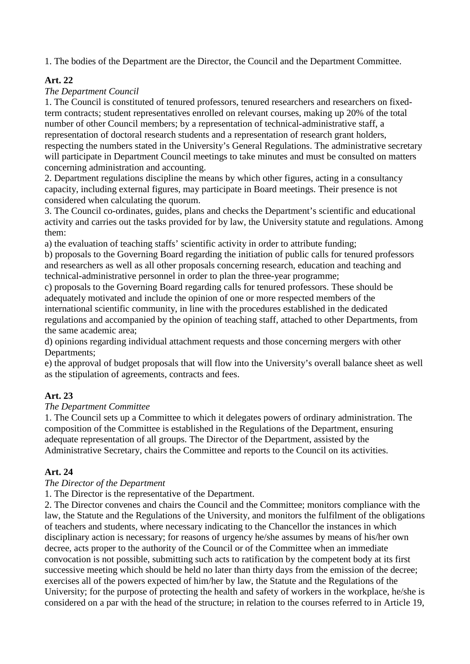1. The bodies of the Department are the Director, the Council and the Department Committee.

# **Art. 22**

# *The Department Council*

1. The Council is constituted of tenured professors, tenured researchers and researchers on fixedterm contracts; student representatives enrolled on relevant courses, making up 20% of the total number of other Council members; by a representation of technical-administrative staff, a representation of doctoral research students and a representation of research grant holders, respecting the numbers stated in the University's General Regulations. The administrative secretary will participate in Department Council meetings to take minutes and must be consulted on matters concerning administration and accounting.

2. Department regulations discipline the means by which other figures, acting in a consultancy capacity, including external figures, may participate in Board meetings. Their presence is not considered when calculating the quorum.

3. The Council co-ordinates, guides, plans and checks the Department's scientific and educational activity and carries out the tasks provided for by law, the University statute and regulations. Among them:

a) the evaluation of teaching staffs' scientific activity in order to attribute funding;

b) proposals to the Governing Board regarding the initiation of public calls for tenured professors and researchers as well as all other proposals concerning research, education and teaching and technical-administrative personnel in order to plan the three-year programme;

c) proposals to the Governing Board regarding calls for tenured professors. These should be adequately motivated and include the opinion of one or more respected members of the international scientific community, in line with the procedures established in the dedicated regulations and accompanied by the opinion of teaching staff, attached to other Departments, from the same academic area;

d) opinions regarding individual attachment requests and those concerning mergers with other Departments;

e) the approval of budget proposals that will flow into the University's overall balance sheet as well as the stipulation of agreements, contracts and fees.

# **Art. 23**

# *The Department Committee*

1. The Council sets up a Committee to which it delegates powers of ordinary administration. The composition of the Committee is established in the Regulations of the Department, ensuring adequate representation of all groups. The Director of the Department, assisted by the Administrative Secretary, chairs the Committee and reports to the Council on its activities.

# **Art. 24**

# *The Director of the Department*

1. The Director is the representative of the Department.

2. The Director convenes and chairs the Council and the Committee; monitors compliance with the law, the Statute and the Regulations of the University, and monitors the fulfilment of the obligations of teachers and students, where necessary indicating to the Chancellor the instances in which disciplinary action is necessary; for reasons of urgency he/she assumes by means of his/her own decree, acts proper to the authority of the Council or of the Committee when an immediate convocation is not possible, submitting such acts to ratification by the competent body at its first successive meeting which should be held no later than thirty days from the emission of the decree; exercises all of the powers expected of him/her by law, the Statute and the Regulations of the University; for the purpose of protecting the health and safety of workers in the workplace, he/she is considered on a par with the head of the structure; in relation to the courses referred to in Article 19,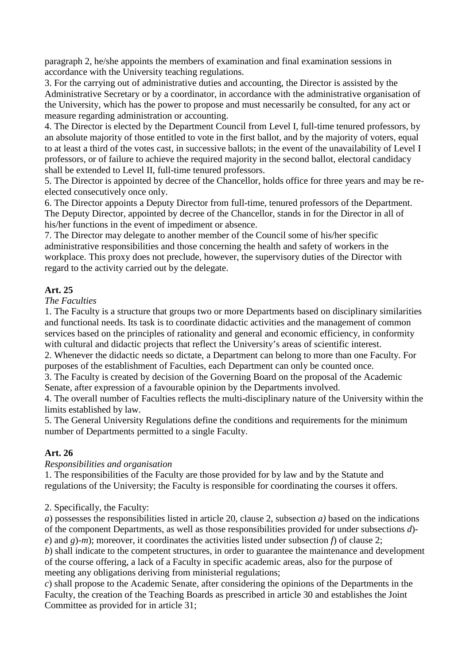paragraph 2, he/she appoints the members of examination and final examination sessions in accordance with the University teaching regulations.

3. For the carrying out of administrative duties and accounting, the Director is assisted by the Administrative Secretary or by a coordinator, in accordance with the administrative organisation of the University, which has the power to propose and must necessarily be consulted, for any act or measure regarding administration or accounting.

4. The Director is elected by the Department Council from Level I, full-time tenured professors, by an absolute majority of those entitled to vote in the first ballot, and by the majority of voters, equal to at least a third of the votes cast, in successive ballots; in the event of the unavailability of Level I professors, or of failure to achieve the required majority in the second ballot, electoral candidacy shall be extended to Level II, full-time tenured professors.

5. The Director is appointed by decree of the Chancellor, holds office for three years and may be reelected consecutively once only.

6. The Director appoints a Deputy Director from full-time, tenured professors of the Department. The Deputy Director, appointed by decree of the Chancellor, stands in for the Director in all of his/her functions in the event of impediment or absence.

7. The Director may delegate to another member of the Council some of his/her specific administrative responsibilities and those concerning the health and safety of workers in the workplace. This proxy does not preclude, however, the supervisory duties of the Director with regard to the activity carried out by the delegate.

# **Art. 25**

*The Faculties*

1. The Faculty is a structure that groups two or more Departments based on disciplinary similarities and functional needs. Its task is to coordinate didactic activities and the management of common services based on the principles of rationality and general and economic efficiency, in conformity with cultural and didactic projects that reflect the University's areas of scientific interest.

2. Whenever the didactic needs so dictate, a Department can belong to more than one Faculty. For purposes of the establishment of Faculties, each Department can only be counted once.

3. The Faculty is created by decision of the Governing Board on the proposal of the Academic Senate, after expression of a favourable opinion by the Departments involved.

4. The overall number of Faculties reflects the multi-disciplinary nature of the University within the limits established by law.

5. The General University Regulations define the conditions and requirements for the minimum number of Departments permitted to a single Faculty.

# **Art. 26**

# *Responsibilities and organisation*

1. The responsibilities of the Faculty are those provided for by law and by the Statute and regulations of the University; the Faculty is responsible for coordinating the courses it offers.

# 2. Specifically, the Faculty:

*a*) possesses the responsibilities listed in article 20, clause 2, subsection *a)* based on the indications of the component Departments, as well as those responsibilities provided for under subsections *d*) *e*) and *g*)-*m*); moreover, it coordinates the activities listed under subsection *f*) of clause 2;

*b*) shall indicate to the competent structures, in order to guarantee the maintenance and development of the course offering, a lack of a Faculty in specific academic areas, also for the purpose of meeting any obligations deriving from ministerial regulations;

*c*) shall propose to the Academic Senate, after considering the opinions of the Departments in the Faculty, the creation of the Teaching Boards as prescribed in article 30 and establishes the Joint Committee as provided for in article 31;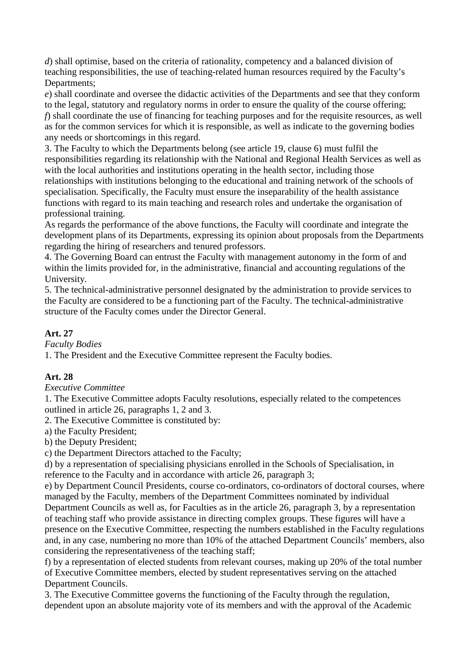*d*) shall optimise, based on the criteria of rationality, competency and a balanced division of teaching responsibilities, the use of teaching-related human resources required by the Faculty's Departments;

*e*) shall coordinate and oversee the didactic activities of the Departments and see that they conform to the legal, statutory and regulatory norms in order to ensure the quality of the course offering; *f*) shall coordinate the use of financing for teaching purposes and for the requisite resources, as well as for the common services for which it is responsible, as well as indicate to the governing bodies any needs or shortcomings in this regard.

3. The Faculty to which the Departments belong (see article 19, clause 6) must fulfil the responsibilities regarding its relationship with the National and Regional Health Services as well as with the local authorities and institutions operating in the health sector, including those relationships with institutions belonging to the educational and training network of the schools of specialisation. Specifically, the Faculty must ensure the inseparability of the health assistance functions with regard to its main teaching and research roles and undertake the organisation of professional training.

As regards the performance of the above functions, the Faculty will coordinate and integrate the development plans of its Departments, expressing its opinion about proposals from the Departments regarding the hiring of researchers and tenured professors.

4. The Governing Board can entrust the Faculty with management autonomy in the form of and within the limits provided for, in the administrative, financial and accounting regulations of the University.

5. The technical-administrative personnel designated by the administration to provide services to the Faculty are considered to be a functioning part of the Faculty. The technical-administrative structure of the Faculty comes under the Director General.

# **Art. 27**

*Faculty Bodies*

1. The President and the Executive Committee represent the Faculty bodies.

# **Art. 28**

*Executive Committee*

1. The Executive Committee adopts Faculty resolutions, especially related to the competences outlined in article 26, paragraphs 1, 2 and 3.

2. The Executive Committee is constituted by:

a) the Faculty President;

b) the Deputy President;

c) the Department Directors attached to the Faculty;

d) by a representation of specialising physicians enrolled in the Schools of Specialisation, in reference to the Faculty and in accordance with article 26, paragraph 3;

e) by Department Council Presidents, course co-ordinators, co-ordinators of doctoral courses, where managed by the Faculty, members of the Department Committees nominated by individual Department Councils as well as, for Faculties as in the article 26, paragraph 3, by a representation of teaching staff who provide assistance in directing complex groups. These figures will have a presence on the Executive Committee, respecting the numbers established in the Faculty regulations and, in any case, numbering no more than 10% of the attached Department Councils' members, also considering the representativeness of the teaching staff;

f) by a representation of elected students from relevant courses, making up 20% of the total number of Executive Committee members, elected by student representatives serving on the attached Department Councils.

3. The Executive Committee governs the functioning of the Faculty through the regulation, dependent upon an absolute majority vote of its members and with the approval of the Academic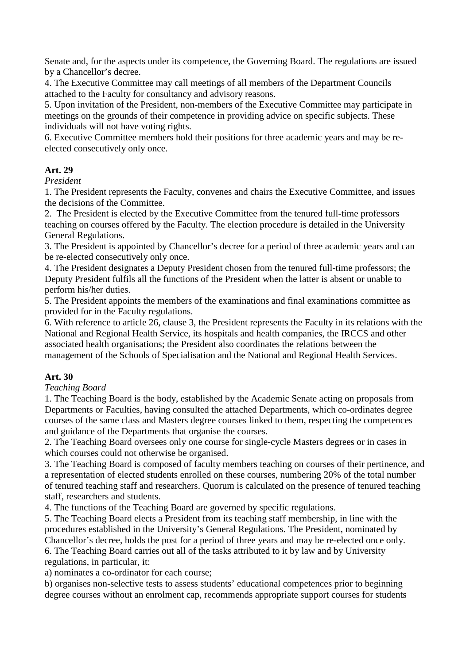Senate and, for the aspects under its competence, the Governing Board. The regulations are issued by a Chancellor's decree.

4. The Executive Committee may call meetings of all members of the Department Councils attached to the Faculty for consultancy and advisory reasons.

5. Upon invitation of the President, non-members of the Executive Committee may participate in meetings on the grounds of their competence in providing advice on specific subjects. These individuals will not have voting rights.

6. Executive Committee members hold their positions for three academic years and may be reelected consecutively only once.

# **Art. 29**

#### *President*

1. The President represents the Faculty, convenes and chairs the Executive Committee, and issues the decisions of the Committee.

2. The President is elected by the Executive Committee from the tenured full-time professors teaching on courses offered by the Faculty. The election procedure is detailed in the University General Regulations.

3. The President is appointed by Chancellor's decree for a period of three academic years and can be re-elected consecutively only once.

4. The President designates a Deputy President chosen from the tenured full-time professors; the Deputy President fulfils all the functions of the President when the latter is absent or unable to perform his/her duties.

5. The President appoints the members of the examinations and final examinations committee as provided for in the Faculty regulations.

6. With reference to article 26, clause 3, the President represents the Faculty in its relations with the National and Regional Health Service, its hospitals and health companies, the IRCCS and other associated health organisations; the President also coordinates the relations between the management of the Schools of Specialisation and the National and Regional Health Services.

# **Art. 30**

#### *Teaching Board*

1. The Teaching Board is the body, established by the Academic Senate acting on proposals from Departments or Faculties, having consulted the attached Departments, which co-ordinates degree courses of the same class and Masters degree courses linked to them, respecting the competences and guidance of the Departments that organise the courses.

2. The Teaching Board oversees only one course for single-cycle Masters degrees or in cases in which courses could not otherwise be organised.

3. The Teaching Board is composed of faculty members teaching on courses of their pertinence, and a representation of elected students enrolled on these courses, numbering 20% of the total number of tenured teaching staff and researchers. Quorum is calculated on the presence of tenured teaching staff, researchers and students.

4. The functions of the Teaching Board are governed by specific regulations.

5. The Teaching Board elects a President from its teaching staff membership, in line with the procedures established in the University's General Regulations. The President, nominated by Chancellor's decree, holds the post for a period of three years and may be re-elected once only. 6. The Teaching Board carries out all of the tasks attributed to it by law and by University

regulations, in particular, it:

a) nominates a co-ordinator for each course;

b) organises non-selective tests to assess students' educational competences prior to beginning degree courses without an enrolment cap, recommends appropriate support courses for students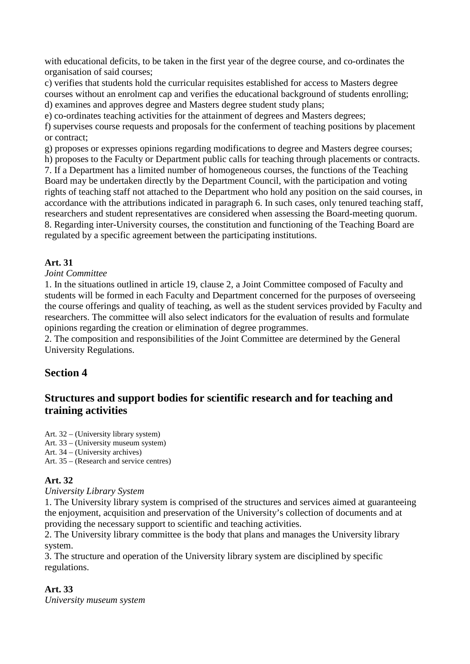with educational deficits, to be taken in the first year of the degree course, and co-ordinates the organisation of said courses;

c) verifies that students hold the curricular requisites established for access to Masters degree courses without an enrolment cap and verifies the educational background of students enrolling; d) examines and approves degree and Masters degree student study plans;

e) co-ordinates teaching activities for the attainment of degrees and Masters degrees;

f) supervises course requests and proposals for the conferment of teaching positions by placement or contract;

g) proposes or expresses opinions regarding modifications to degree and Masters degree courses;

h) proposes to the Faculty or Department public calls for teaching through placements or contracts.

7. If a Department has a limited number of homogeneous courses, the functions of the Teaching Board may be undertaken directly by the Department Council, with the participation and voting rights of teaching staff not attached to the Department who hold any position on the said courses, in accordance with the attributions indicated in paragraph 6. In such cases, only tenured teaching staff, researchers and student representatives are considered when assessing the Board-meeting quorum. 8. Regarding inter-University courses, the constitution and functioning of the Teaching Board are regulated by a specific agreement between the participating institutions.

# **Art. 31**

*Joint Committee*

1. In the situations outlined in article 19, clause 2, a Joint Committee composed of Faculty and students will be formed in each Faculty and Department concerned for the purposes of overseeing the course offerings and quality of teaching, as well as the student services provided by Faculty and researchers. The committee will also select indicators for the evaluation of results and formulate opinions regarding the creation or elimination of degree programmes.

2. The composition and responsibilities of the Joint Committee are determined by the General University Regulations.

# **Section 4**

# **Structures and support bodies for scientific research and for teaching and training activities**

Art. 32 – (University library system)

Art. 33 – (University museum system)

Art. 34 – (University archives)

Art. 35 – (Research and service centres)

# **Art. 32**

*University Library System*

1. The University library system is comprised of the structures and services aimed at guaranteeing the enjoyment, acquisition and preservation of the University's collection of documents and at providing the necessary support to scientific and teaching activities.

2. The University library committee is the body that plans and manages the University library system.

3. The structure and operation of the University library system are disciplined by specific regulations.

# **Art. 33**

*University museum system*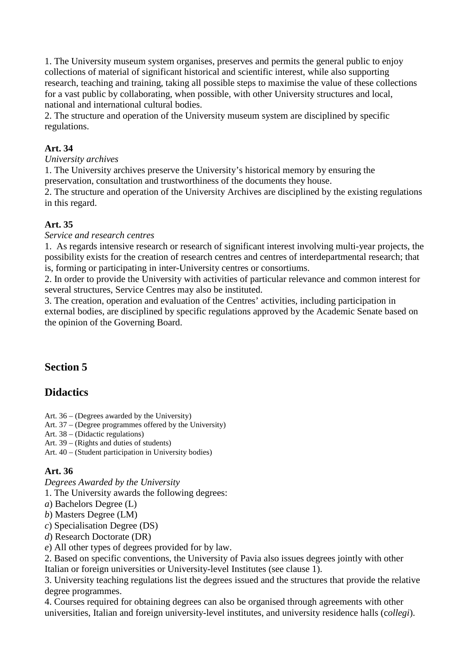1. The University museum system organises, preserves and permits the general public to enjoy collections of material of significant historical and scientific interest, while also supporting research, teaching and training, taking all possible steps to maximise the value of these collections for a vast public by collaborating, when possible, with other University structures and local, national and international cultural bodies.

2. The structure and operation of the University museum system are disciplined by specific regulations.

# **Art. 34**

*University archives*

1. The University archives preserve the University's historical memory by ensuring the preservation, consultation and trustworthiness of the documents they house.

2. The structure and operation of the University Archives are disciplined by the existing regulations in this regard.

# **Art. 35**

*Service and research centres*

1. As regards intensive research or research of significant interest involving multi-year projects, the possibility exists for the creation of research centres and centres of interdepartmental research; that is, forming or participating in inter-University centres or consortiums.

2. In order to provide the University with activities of particular relevance and common interest for several structures, Service Centres may also be instituted.

3. The creation, operation and evaluation of the Centres' activities, including participation in external bodies, are disciplined by specific regulations approved by the Academic Senate based on the opinion of the Governing Board.

# **Section 5**

# **Didactics**

Art. 36 – (Degrees awarded by the University)

Art. 37 – (Degree programmes offered by the University)

Art. 38 – (Didactic regulations)

Art. 39 – (Rights and duties of students)

Art. 40 – (Student participation in University bodies)

# **Art. 36**

*Degrees Awarded by the University*

1. The University awards the following degrees:

*a*) Bachelors Degree (L)

*b*) Masters Degree (LM)

*c*) Specialisation Degree (DS)

*d*) Research Doctorate (DR)

*e*) All other types of degrees provided for by law.

2. Based on specific conventions, the University of Pavia also issues degrees jointly with other Italian or foreign universities or University-level Institutes (see clause 1).

3. University teaching regulations list the degrees issued and the structures that provide the relative degree programmes.

4. Courses required for obtaining degrees can also be organised through agreements with other universities, Italian and foreign university-level institutes, and university residence halls (c*ollegi*).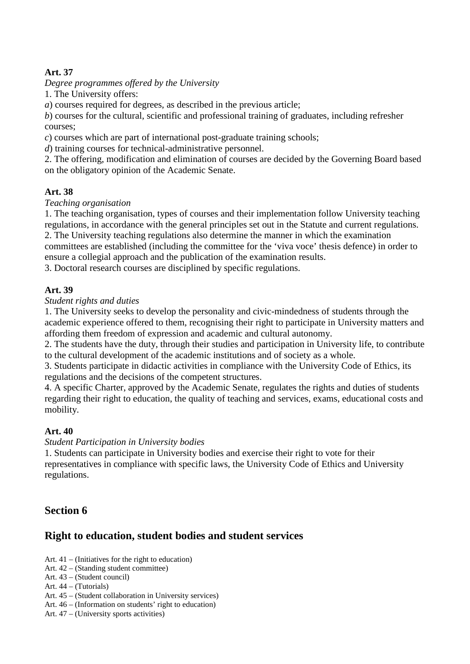# **Art. 37**

# *Degree programmes offered by the University*

1. The University offers:

*a*) courses required for degrees, as described in the previous article;

*b*) courses for the cultural, scientific and professional training of graduates, including refresher courses;

*c*) courses which are part of international post-graduate training schools;

*d*) training courses for technical-administrative personnel.

2. The offering, modification and elimination of courses are decided by the Governing Board based on the obligatory opinion of the Academic Senate.

# **Art. 38**

# *Teaching organisation*

1. The teaching organisation, types of courses and their implementation follow University teaching regulations, in accordance with the general principles set out in the Statute and current regulations. 2. The University teaching regulations also determine the manner in which the examination

committees are established (including the committee for the 'viva voce' thesis defence) in order to ensure a collegial approach and the publication of the examination results.

3. Doctoral research courses are disciplined by specific regulations.

# **Art. 39**

*Student rights and duties*

1. The University seeks to develop the personality and civic-mindedness of students through the academic experience offered to them, recognising their right to participate in University matters and affording them freedom of expression and academic and cultural autonomy.

2. The students have the duty, through their studies and participation in University life, to contribute to the cultural development of the academic institutions and of society as a whole.

3. Students participate in didactic activities in compliance with the University Code of Ethics, its regulations and the decisions of the competent structures.

4. A specific Charter, approved by the Academic Senate, regulates the rights and duties of students regarding their right to education, the quality of teaching and services, exams, educational costs and mobility.

# **Art. 40**

# *Student Participation in University bodies*

1. Students can participate in University bodies and exercise their right to vote for their representatives in compliance with specific laws, the University Code of Ethics and University regulations.

# **Section 6**

# **Right to education, student bodies and student services**

- Art. 41 (Initiatives for the right to education)
- Art. 42 (Standing student committee)
- Art. 43 (Student council)
- Art. 44 (Tutorials)
- Art. 45 (Student collaboration in University services)
- Art. 46 (Information on students' right to education)
- Art. 47 (University sports activities)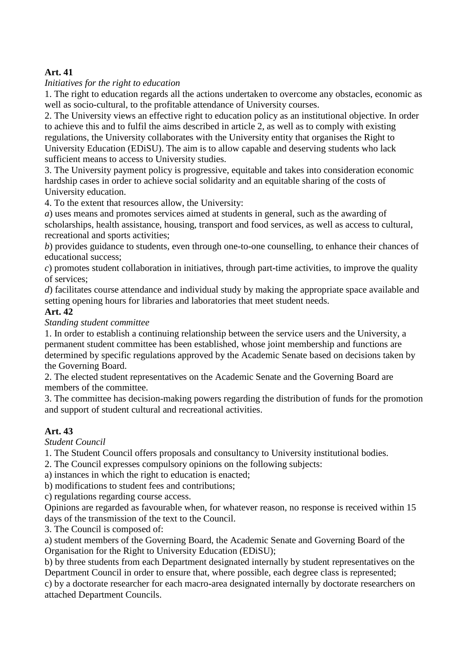# **Art. 41**

# *Initiatives for the right to education*

1. The right to education regards all the actions undertaken to overcome any obstacles, economic as well as socio-cultural, to the profitable attendance of University courses.

2. The University views an effective right to education policy as an institutional objective. In order to achieve this and to fulfil the aims described in article 2, as well as to comply with existing regulations, the University collaborates with the University entity that organises the Right to University Education (EDiSU). The aim is to allow capable and deserving students who lack sufficient means to access to University studies.

3. The University payment policy is progressive, equitable and takes into consideration economic hardship cases in order to achieve social solidarity and an equitable sharing of the costs of University education.

4. To the extent that resources allow, the University:

*a*) uses means and promotes services aimed at students in general, such as the awarding of scholarships, health assistance, housing, transport and food services, as well as access to cultural, recreational and sports activities;

*b*) provides guidance to students, even through one-to-one counselling, to enhance their chances of educational success;

*c*) promotes student collaboration in initiatives, through part-time activities, to improve the quality of services;

*d*) facilitates course attendance and individual study by making the appropriate space available and setting opening hours for libraries and laboratories that meet student needs.

# **Art. 42**

*Standing student committee*

1. In order to establish a continuing relationship between the service users and the University, a permanent student committee has been established, whose joint membership and functions are determined by specific regulations approved by the Academic Senate based on decisions taken by the Governing Board.

2. The elected student representatives on the Academic Senate and the Governing Board are members of the committee.

3. The committee has decision-making powers regarding the distribution of funds for the promotion and support of student cultural and recreational activities.

# **Art. 43**

*Student Council*

1. The Student Council offers proposals and consultancy to University institutional bodies.

2. The Council expresses compulsory opinions on the following subjects:

a) instances in which the right to education is enacted;

b) modifications to student fees and contributions;

c) regulations regarding course access.

Opinions are regarded as favourable when, for whatever reason, no response is received within 15 days of the transmission of the text to the Council.

3. The Council is composed of:

a) student members of the Governing Board, the Academic Senate and Governing Board of the Organisation for the Right to University Education (EDiSU);

b) by three students from each Department designated internally by student representatives on the Department Council in order to ensure that, where possible, each degree class is represented;

c) by a doctorate researcher for each macro-area designated internally by doctorate researchers on attached Department Councils.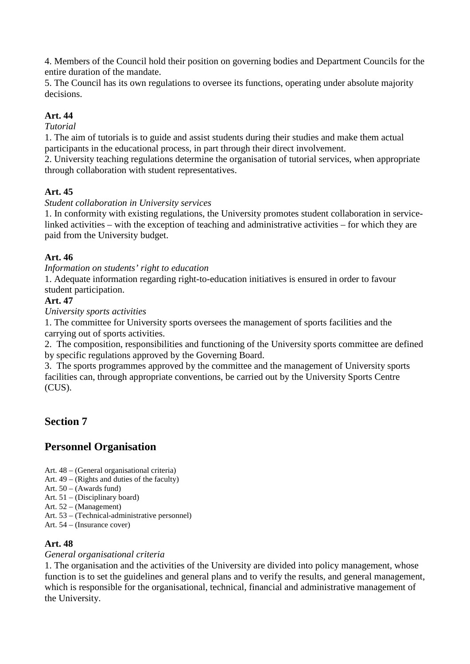4. Members of the Council hold their position on governing bodies and Department Councils for the entire duration of the mandate.

5. The Council has its own regulations to oversee its functions, operating under absolute majority decisions.

# **Art. 44**

# *Tutorial*

1. The aim of tutorials is to guide and assist students during their studies and make them actual participants in the educational process, in part through their direct involvement.

2. University teaching regulations determine the organisation of tutorial services, when appropriate through collaboration with student representatives.

# **Art. 45**

# *Student collaboration in University services*

1. In conformity with existing regulations, the University promotes student collaboration in servicelinked activities – with the exception of teaching and administrative activities – for which they are paid from the University budget.

# **Art. 46**

*Information on students' right to education* 

1. Adequate information regarding right-to-education initiatives is ensured in order to favour student participation.

# **Art. 47**

*University sports activities*

1. The committee for University sports oversees the management of sports facilities and the carrying out of sports activities.

2. The composition, responsibilities and functioning of the University sports committee are defined by specific regulations approved by the Governing Board.

3. The sports programmes approved by the committee and the management of University sports facilities can, through appropriate conventions, be carried out by the University Sports Centre (CUS).

# **Section 7**

# **Personnel Organisation**

- Art. 48 (General organisational criteria)
- Art. 49 (Rights and duties of the faculty)
- Art. 50 (Awards fund)
- Art. 51 (Disciplinary board)
- Art. 52 (Management)
- Art. 53 (Technical-administrative personnel)
- Art. 54 (Insurance cover)

# **Art. 48**

# *General organisational criteria*

1. The organisation and the activities of the University are divided into policy management, whose function is to set the guidelines and general plans and to verify the results, and general management, which is responsible for the organisational, technical, financial and administrative management of the University.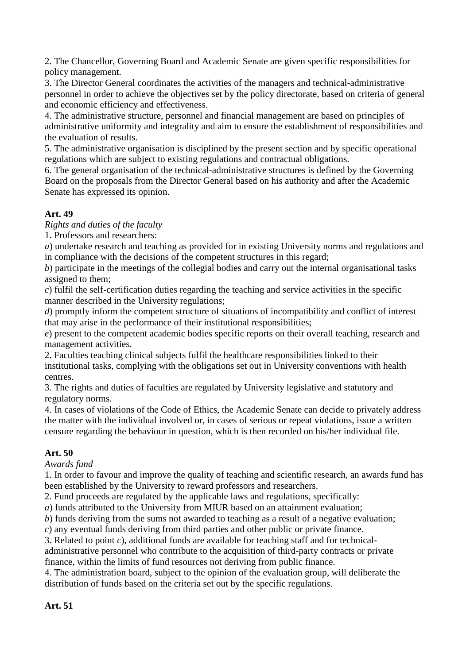2. The Chancellor, Governing Board and Academic Senate are given specific responsibilities for policy management.

3. The Director General coordinates the activities of the managers and technical-administrative personnel in order to achieve the objectives set by the policy directorate, based on criteria of general and economic efficiency and effectiveness.

4. The administrative structure, personnel and financial management are based on principles of administrative uniformity and integrality and aim to ensure the establishment of responsibilities and the evaluation of results.

5. The administrative organisation is disciplined by the present section and by specific operational regulations which are subject to existing regulations and contractual obligations.

6. The general organisation of the technical-administrative structures is defined by the Governing Board on the proposals from the Director General based on his authority and after the Academic Senate has expressed its opinion.

# **Art. 49**

*Rights and duties of the faculty*

1. Professors and researchers:

*a*) undertake research and teaching as provided for in existing University norms and regulations and in compliance with the decisions of the competent structures in this regard;

*b*) participate in the meetings of the collegial bodies and carry out the internal organisational tasks assigned to them;

*c*) fulfil the self-certification duties regarding the teaching and service activities in the specific manner described in the University regulations;

*d*) promptly inform the competent structure of situations of incompatibility and conflict of interest that may arise in the performance of their institutional responsibilities;

*e*) present to the competent academic bodies specific reports on their overall teaching, research and management activities.

2. Faculties teaching clinical subjects fulfil the healthcare responsibilities linked to their institutional tasks, complying with the obligations set out in University conventions with health centres.

3. The rights and duties of faculties are regulated by University legislative and statutory and regulatory norms.

4. In cases of violations of the Code of Ethics, the Academic Senate can decide to privately address the matter with the individual involved or, in cases of serious or repeat violations, issue a written censure regarding the behaviour in question, which is then recorded on his/her individual file.

# **Art. 50**

*Awards fund*

1. In order to favour and improve the quality of teaching and scientific research, an awards fund has been established by the University to reward professors and researchers.

2. Fund proceeds are regulated by the applicable laws and regulations, specifically:

*a*) funds attributed to the University from MIUR based on an attainment evaluation;

*b*) funds deriving from the sums not awarded to teaching as a result of a negative evaluation;

*c*) any eventual funds deriving from third parties and other public or private finance.

3. Related to point *c*), additional funds are available for teaching staff and for technical-

administrative personnel who contribute to the acquisition of third-party contracts or private finance, within the limits of fund resources not deriving from public finance.

4. The administration board, subject to the opinion of the evaluation group, will deliberate the distribution of funds based on the criteria set out by the specific regulations.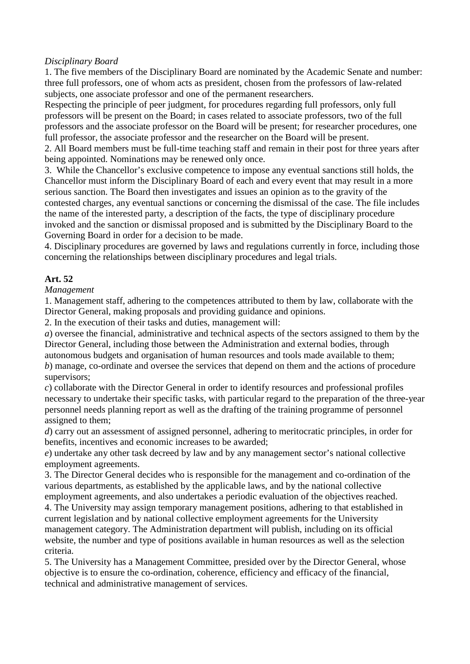#### *Disciplinary Board*

1. The five members of the Disciplinary Board are nominated by the Academic Senate and number: three full professors, one of whom acts as president, chosen from the professors of law-related subjects, one associate professor and one of the permanent researchers.

Respecting the principle of peer judgment, for procedures regarding full professors, only full professors will be present on the Board; in cases related to associate professors, two of the full professors and the associate professor on the Board will be present; for researcher procedures, one full professor, the associate professor and the researcher on the Board will be present.

2. All Board members must be full-time teaching staff and remain in their post for three years after being appointed. Nominations may be renewed only once.

3. While the Chancellor's exclusive competence to impose any eventual sanctions still holds, the Chancellor must inform the Disciplinary Board of each and every event that may result in a more serious sanction. The Board then investigates and issues an opinion as to the gravity of the contested charges, any eventual sanctions or concerning the dismissal of the case. The file includes the name of the interested party, a description of the facts, the type of disciplinary procedure invoked and the sanction or dismissal proposed and is submitted by the Disciplinary Board to the Governing Board in order for a decision to be made.

4. Disciplinary procedures are governed by laws and regulations currently in force, including those concerning the relationships between disciplinary procedures and legal trials.

# **Art. 52**

*Management*

1. Management staff, adhering to the competences attributed to them by law, collaborate with the Director General, making proposals and providing guidance and opinions.

2. In the execution of their tasks and duties, management will:

*a*) oversee the financial, administrative and technical aspects of the sectors assigned to them by the Director General, including those between the Administration and external bodies, through autonomous budgets and organisation of human resources and tools made available to them;

*b*) manage, co-ordinate and oversee the services that depend on them and the actions of procedure supervisors;

*c*) collaborate with the Director General in order to identify resources and professional profiles necessary to undertake their specific tasks, with particular regard to the preparation of the three-year personnel needs planning report as well as the drafting of the training programme of personnel assigned to them;

*d*) carry out an assessment of assigned personnel, adhering to meritocratic principles, in order for benefits, incentives and economic increases to be awarded;

*e*) undertake any other task decreed by law and by any management sector's national collective employment agreements.

3. The Director General decides who is responsible for the management and co-ordination of the various departments, as established by the applicable laws, and by the national collective employment agreements, and also undertakes a periodic evaluation of the objectives reached.

4. The University may assign temporary management positions, adhering to that established in current legislation and by national collective employment agreements for the University management category. The Administration department will publish, including on its official website, the number and type of positions available in human resources as well as the selection criteria.

5. The University has a Management Committee, presided over by the Director General, whose objective is to ensure the co-ordination, coherence, efficiency and efficacy of the financial, technical and administrative management of services.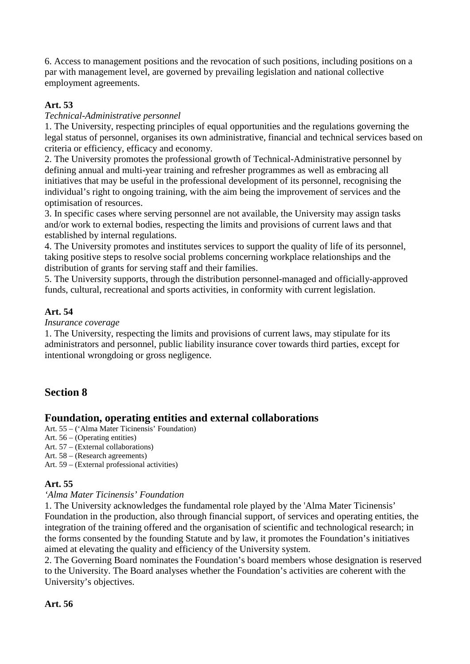6. Access to management positions and the revocation of such positions, including positions on a par with management level, are governed by prevailing legislation and national collective employment agreements.

# **Art. 53**

# *Technical-Administrative personnel*

1. The University, respecting principles of equal opportunities and the regulations governing the legal status of personnel, organises its own administrative, financial and technical services based on criteria or efficiency, efficacy and economy.

2. The University promotes the professional growth of Technical-Administrative personnel by defining annual and multi-year training and refresher programmes as well as embracing all initiatives that may be useful in the professional development of its personnel, recognising the individual's right to ongoing training, with the aim being the improvement of services and the optimisation of resources.

3. In specific cases where serving personnel are not available, the University may assign tasks and/or work to external bodies, respecting the limits and provisions of current laws and that established by internal regulations.

4. The University promotes and institutes services to support the quality of life of its personnel, taking positive steps to resolve social problems concerning workplace relationships and the distribution of grants for serving staff and their families.

5. The University supports, through the distribution personnel-managed and officially-approved funds, cultural, recreational and sports activities, in conformity with current legislation.

# **Art. 54**

# *Insurance coverage*

1. The University, respecting the limits and provisions of current laws, may stipulate for its administrators and personnel, public liability insurance cover towards third parties, except for intentional wrongdoing or gross negligence.

# **Section 8**

# **Foundation, operating entities and external collaborations**

- Art. 55 ('Alma Mater Ticinensis' Foundation)
- Art. 56 (Operating entities)
- Art. 57 (External collaborations)
- Art. 58 (Research agreements)
- Art. 59 (External professional activities)

# **Art. 55**

# *'Alma Mater Ticinensis' Foundation*

1. The University acknowledges the fundamental role played by the 'Alma Mater Ticinensis' Foundation in the production, also through financial support, of services and operating entities, the integration of the training offered and the organisation of scientific and technological research; in the forms consented by the founding Statute and by law, it promotes the Foundation's initiatives aimed at elevating the quality and efficiency of the University system.

2. The Governing Board nominates the Foundation's board members whose designation is reserved to the University. The Board analyses whether the Foundation's activities are coherent with the University's objectives.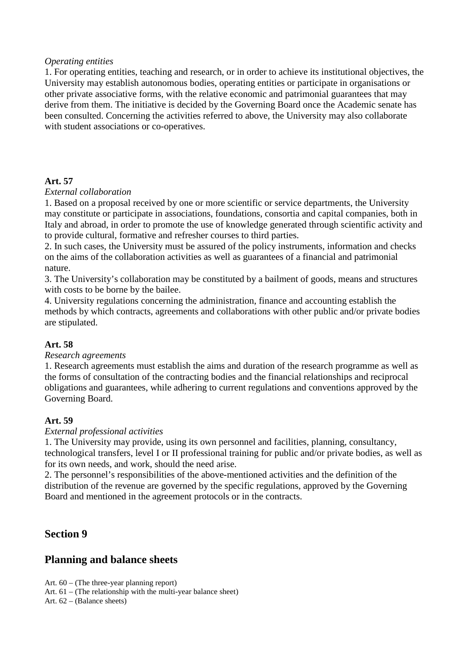#### *Operating entities*

1. For operating entities, teaching and research, or in order to achieve its institutional objectives, the University may establish autonomous bodies, operating entities or participate in organisations or other private associative forms, with the relative economic and patrimonial guarantees that may derive from them. The initiative is decided by the Governing Board once the Academic senate has been consulted. Concerning the activities referred to above, the University may also collaborate with student associations or co-operatives.

#### **Art. 57**

#### *External collaboration*

1. Based on a proposal received by one or more scientific or service departments, the University may constitute or participate in associations, foundations, consortia and capital companies, both in Italy and abroad, in order to promote the use of knowledge generated through scientific activity and to provide cultural, formative and refresher courses to third parties.

2. In such cases, the University must be assured of the policy instruments, information and checks on the aims of the collaboration activities as well as guarantees of a financial and patrimonial nature.

3. The University's collaboration may be constituted by a bailment of goods, means and structures with costs to be borne by the bailee.

4. University regulations concerning the administration, finance and accounting establish the methods by which contracts, agreements and collaborations with other public and/or private bodies are stipulated.

#### **Art. 58**

#### *Research agreements*

1. Research agreements must establish the aims and duration of the research programme as well as the forms of consultation of the contracting bodies and the financial relationships and reciprocal obligations and guarantees, while adhering to current regulations and conventions approved by the Governing Board.

# **Art. 59**

#### *External professional activities*

1. The University may provide, using its own personnel and facilities, planning, consultancy, technological transfers, level I or II professional training for public and/or private bodies, as well as for its own needs, and work, should the need arise.

2. The personnel's responsibilities of the above-mentioned activities and the definition of the distribution of the revenue are governed by the specific regulations, approved by the Governing Board and mentioned in the agreement protocols or in the contracts.

# **Section 9**

# **Planning and balance sheets**

Art. 60 – (The three-year planning report)

Art.  $61 -$  (The relationship with the multi-year balance sheet)

Art. 62 – (Balance sheets)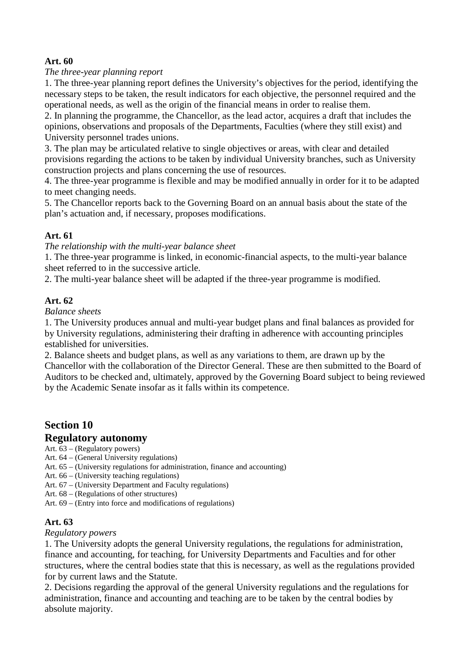# **Art. 60**

# *The three-year planning report*

1. The three-year planning report defines the University's objectives for the period, identifying the necessary steps to be taken, the result indicators for each objective, the personnel required and the operational needs, as well as the origin of the financial means in order to realise them.

2. In planning the programme, the Chancellor, as the lead actor, acquires a draft that includes the opinions, observations and proposals of the Departments, Faculties (where they still exist) and University personnel trades unions.

3. The plan may be articulated relative to single objectives or areas, with clear and detailed provisions regarding the actions to be taken by individual University branches, such as University construction projects and plans concerning the use of resources.

4. The three-year programme is flexible and may be modified annually in order for it to be adapted to meet changing needs.

5. The Chancellor reports back to the Governing Board on an annual basis about the state of the plan's actuation and, if necessary, proposes modifications.

#### **Art. 61**

*The relationship with the multi-year balance sheet* 

1. The three-year programme is linked, in economic-financial aspects, to the multi-year balance sheet referred to in the successive article.

2. The multi-year balance sheet will be adapted if the three-year programme is modified.

# **Art. 62**

*Balance sheets*

1. The University produces annual and multi-year budget plans and final balances as provided for by University regulations, administering their drafting in adherence with accounting principles established for universities.

2. Balance sheets and budget plans, as well as any variations to them, are drawn up by the Chancellor with the collaboration of the Director General. These are then submitted to the Board of Auditors to be checked and, ultimately, approved by the Governing Board subject to being reviewed by the Academic Senate insofar as it falls within its competence.

# **Section 10**

# **Regulatory autonomy**

Art. 63 – (Regulatory powers)

- Art. 64 (General University regulations)
- Art. 65 (University regulations for administration, finance and accounting)
- Art. 66 (University teaching regulations)
- Art. 67 (University Department and Faculty regulations)
- Art. 68 (Regulations of other structures)
- Art. 69 (Entry into force and modifications of regulations)

# **Art. 63**

#### *Regulatory powers*

1. The University adopts the general University regulations, the regulations for administration, finance and accounting, for teaching, for University Departments and Faculties and for other structures, where the central bodies state that this is necessary, as well as the regulations provided for by current laws and the Statute.

2. Decisions regarding the approval of the general University regulations and the regulations for administration, finance and accounting and teaching are to be taken by the central bodies by absolute majority.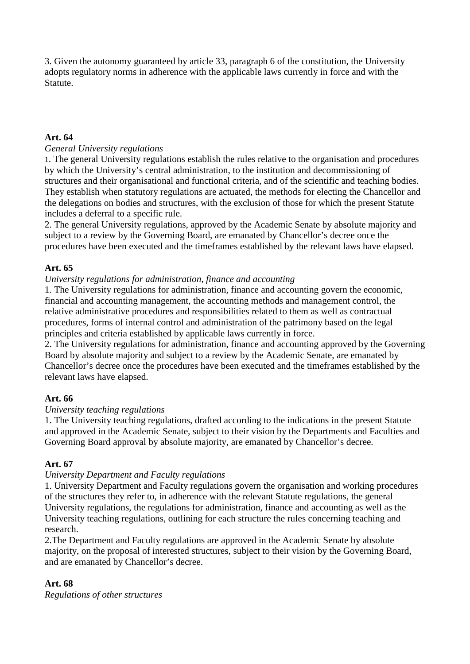3. Given the autonomy guaranteed by article 33, paragraph 6 of the constitution, the University adopts regulatory norms in adherence with the applicable laws currently in force and with the Statute.

# **Art. 64**

# *General University regulations*

1. The general University regulations establish the rules relative to the organisation and procedures by which the University's central administration, to the institution and decommissioning of structures and their organisational and functional criteria, and of the scientific and teaching bodies. They establish when statutory regulations are actuated, the methods for electing the Chancellor and the delegations on bodies and structures, with the exclusion of those for which the present Statute includes a deferral to a specific rule.

2. The general University regulations, approved by the Academic Senate by absolute majority and subject to a review by the Governing Board, are emanated by Chancellor's decree once the procedures have been executed and the timeframes established by the relevant laws have elapsed.

# **Art. 65**

# *University regulations for administration, finance and accounting*

1. The University regulations for administration, finance and accounting govern the economic, financial and accounting management, the accounting methods and management control, the relative administrative procedures and responsibilities related to them as well as contractual procedures, forms of internal control and administration of the patrimony based on the legal principles and criteria established by applicable laws currently in force.

2. The University regulations for administration, finance and accounting approved by the Governing Board by absolute majority and subject to a review by the Academic Senate, are emanated by Chancellor's decree once the procedures have been executed and the timeframes established by the relevant laws have elapsed.

# **Art. 66**

# *University teaching regulations*

1. The University teaching regulations, drafted according to the indications in the present Statute and approved in the Academic Senate, subject to their vision by the Departments and Faculties and Governing Board approval by absolute majority, are emanated by Chancellor's decree.

# **Art. 67**

# *University Department and Faculty regulations*

1. University Department and Faculty regulations govern the organisation and working procedures of the structures they refer to, in adherence with the relevant Statute regulations, the general University regulations, the regulations for administration, finance and accounting as well as the University teaching regulations, outlining for each structure the rules concerning teaching and research.

2.The Department and Faculty regulations are approved in the Academic Senate by absolute majority, on the proposal of interested structures, subject to their vision by the Governing Board, and are emanated by Chancellor's decree.

# **Art. 68**

*Regulations of other structures*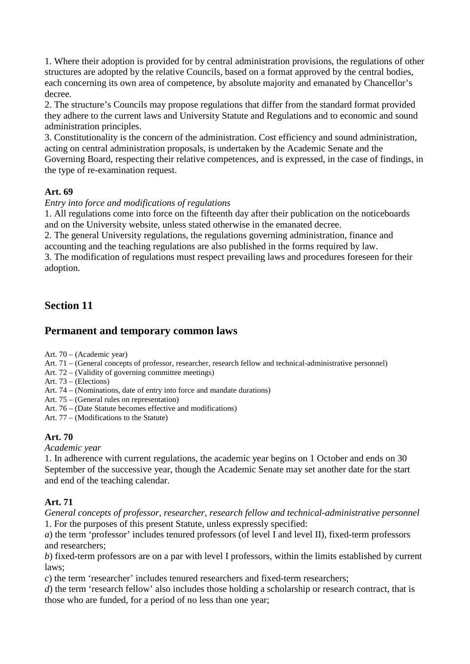1. Where their adoption is provided for by central administration provisions, the regulations of other structures are adopted by the relative Councils, based on a format approved by the central bodies, each concerning its own area of competence, by absolute majority and emanated by Chancellor's decree.

2. The structure's Councils may propose regulations that differ from the standard format provided they adhere to the current laws and University Statute and Regulations and to economic and sound administration principles.

3. Constitutionality is the concern of the administration. Cost efficiency and sound administration, acting on central administration proposals, is undertaken by the Academic Senate and the Governing Board, respecting their relative competences, and is expressed, in the case of findings, in the type of re-examination request.

# **Art. 69**

#### *Entry into force and modifications of regulations*

1. All regulations come into force on the fifteenth day after their publication on the noticeboards and on the University website, unless stated otherwise in the emanated decree.

2. The general University regulations, the regulations governing administration, finance and accounting and the teaching regulations are also published in the forms required by law.

3. The modification of regulations must respect prevailing laws and procedures foreseen for their adoption.

# **Section 11**

# **Permanent and temporary common laws**

Art. 70 – (Academic year)

Art. 71 – (General concepts of professor, researcher, research fellow and technical-administrative personnel)

Art. 72 – (Validity of governing committee meetings)

Art. 73 – (Elections)

Art. 74 – (Nominations, date of entry into force and mandate durations)

Art. 75 – (General rules on representation)

Art. 76 – (Date Statute becomes effective and modifications)

Art. 77 – (Modifications to the Statute)

# **Art. 70**

*Academic year*

1. In adherence with current regulations, the academic year begins on 1 October and ends on 30 September of the successive year, though the Academic Senate may set another date for the start and end of the teaching calendar.

# **Art. 71**

*General concepts of professor, researcher, research fellow and technical-administrative personnel* 1. For the purposes of this present Statute, unless expressly specified:

*a*) the term 'professor' includes tenured professors (of level I and level II), fixed-term professors and researchers;

*b*) fixed-term professors are on a par with level I professors, within the limits established by current laws;

*c*) the term 'researcher' includes tenured researchers and fixed-term researchers;

*d*) the term 'research fellow' also includes those holding a scholarship or research contract, that is those who are funded, for a period of no less than one year;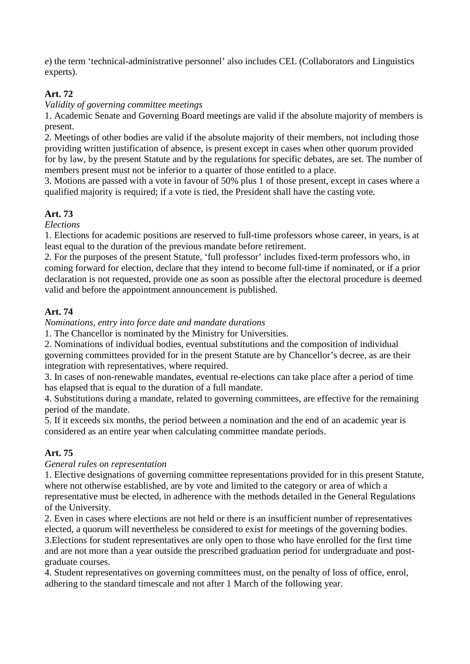*e*) the term 'technical-administrative personnel' also includes CEL (Collaborators and Linguistics experts).

# **Art. 72**

*Validity of governing committee meetings*

1. Academic Senate and Governing Board meetings are valid if the absolute majority of members is present.

2. Meetings of other bodies are valid if the absolute majority of their members, not including those providing written justification of absence, is present except in cases when other quorum provided for by law, by the present Statute and by the regulations for specific debates, are set. The number of members present must not be inferior to a quarter of those entitled to a place.

3. Motions are passed with a vote in favour of 50% plus 1 of those present, except in cases where a qualified majority is required; if a vote is tied, the President shall have the casting vote.

# **Art. 73**

*Elections*

1. Elections for academic positions are reserved to full-time professors whose career, in years, is at least equal to the duration of the previous mandate before retirement.

2. For the purposes of the present Statute, 'full professor' includes fixed-term professors who, in coming forward for election, declare that they intend to become full-time if nominated, or if a prior declaration is not requested, provide one as soon as possible after the electoral procedure is deemed valid and before the appointment announcement is published.

# **Art. 74**

*Nominations, entry into force date and mandate durations*

1. The Chancellor is nominated by the Ministry for Universities.

2. Nominations of individual bodies, eventual substitutions and the composition of individual governing committees provided for in the present Statute are by Chancellor's decree, as are their integration with representatives, where required.

3. In cases of non-renewable mandates, eventual re-elections can take place after a period of time has elapsed that is equal to the duration of a full mandate.

4. Substitutions during a mandate, related to governing committees, are effective for the remaining period of the mandate.

5. If it exceeds six months, the period between a nomination and the end of an academic year is considered as an entire year when calculating committee mandate periods.

# **Art. 75**

# *General rules on representation*

1. Elective designations of governing committee representations provided for in this present Statute, where not otherwise established, are by vote and limited to the category or area of which a representative must be elected, in adherence with the methods detailed in the General Regulations of the University.

2. Even in cases where elections are not held or there is an insufficient number of representatives elected, a quorum will nevertheless be considered to exist for meetings of the governing bodies. 3.Elections for student representatives are only open to those who have enrolled for the first time and are not more than a year outside the prescribed graduation period for undergraduate and post-

# graduate courses.

4. Student representatives on governing committees must, on the penalty of loss of office, enrol, adhering to the standard timescale and not after 1 March of the following year.